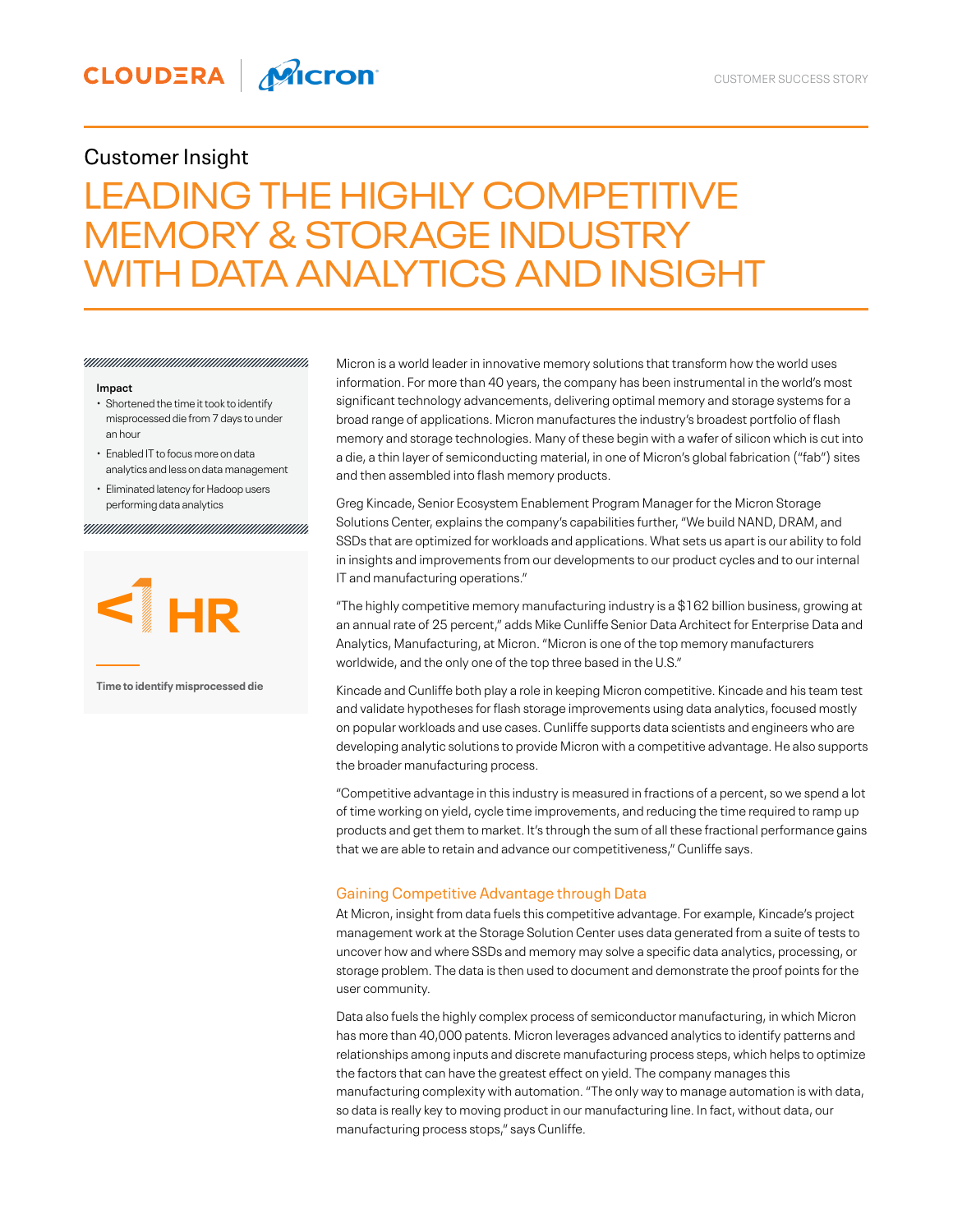## Customer Insight

# LEADING THE HIGHLY COMPETITIVE MEMORY & STORAGE INDUSTRY WITH DATA ANALYTICS AND INSIGHT

#### **Impact**

- Shortened the time it took to identify misprocessed die from 7 days to under an hour
- Enabled IT to focus more on data analytics and less on data management
- Eliminated latency for Hadoop users performing data analytics



**Time to identify misprocessed die**

Micron is a world leader in innovative memory solutions that transform how the world uses information. For more than 40 years, the company has been instrumental in the world's most significant technology advancements, delivering optimal memory and storage systems for a broad range of applications. Micron manufactures the industry's broadest portfolio of flash memory and storage technologies. Many of these begin with a wafer of silicon which is cut into a die, a thin layer of semiconducting material, in one of Micron's global fabrication ("fab") sites and then assembled into flash memory products.

Greg Kincade, Senior Ecosystem Enablement Program Manager for the Micron Storage Solutions Center, explains the company's capabilities further, "We build NAND, DRAM, and SSDs that are optimized for workloads and applications. What sets us apart is our ability to fold in insights and improvements from our developments to our product cycles and to our internal IT and manufacturing operations."

"The highly competitive memory manufacturing industry is a \$162 billion business, growing at an annual rate of 25 percent," adds Mike Cunliffe Senior Data Architect for Enterprise Data and Analytics, Manufacturing, at Micron. "Micron is one of the top memory manufacturers worldwide, and the only one of the top three based in the U.S."

Kincade and Cunliffe both play a role in keeping Micron competitive. Kincade and his team test and validate hypotheses for flash storage improvements using data analytics, focused mostly on popular workloads and use cases. Cunliffe supports data scientists and engineers who are developing analytic solutions to provide Micron with a competitive advantage. He also supports the broader manufacturing process.

"Competitive advantage in this industry is measured in fractions of a percent, so we spend a lot of time working on yield, cycle time improvements, and reducing the time required to ramp up products and get them to market. It's through the sum of all these fractional performance gains that we are able to retain and advance our competitiveness," Cunliffe says.

## Gaining Competitive Advantage through Data

At Micron, insight from data fuels this competitive advantage. For example, Kincade's project management work at the Storage Solution Center uses data generated from a suite of tests to uncover how and where SSDs and memory may solve a specific data analytics, processing, or storage problem. The data is then used to document and demonstrate the proof points for the user community.

Data also fuels the highly complex process of semiconductor manufacturing, in which Micron has more than 40,000 patents. Micron leverages advanced analytics to identify patterns and relationships among inputs and discrete manufacturing process steps, which helps to optimize the factors that can have the greatest effect on yield. The company manages this manufacturing complexity with automation. "The only way to manage automation is with data, so data is really key to moving product in our manufacturing line. In fact, without data, our manufacturing process stops," says Cunliffe.